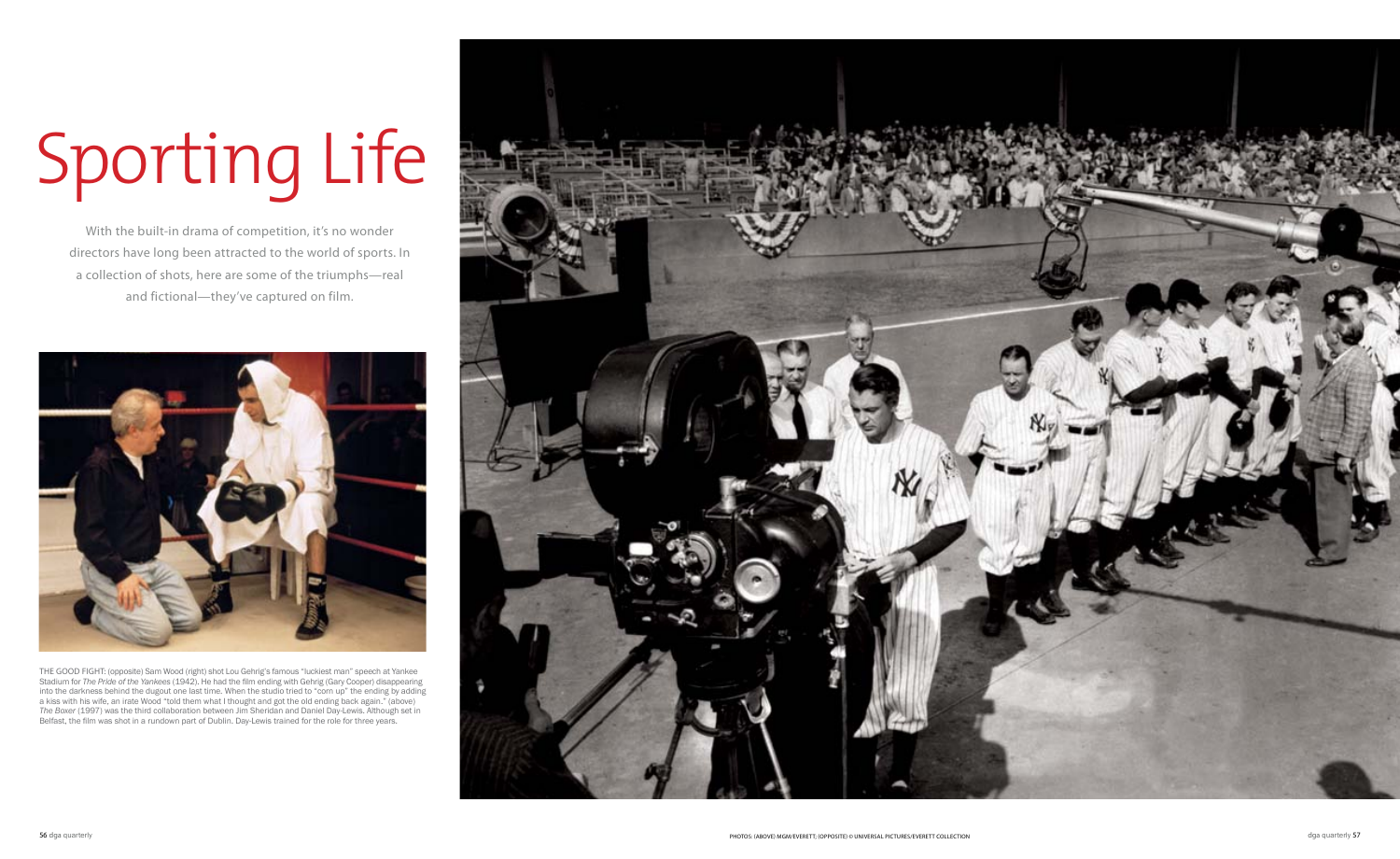With the built-in drama of competition, it's no wonder directors have long been attracted to the world of sports. In a collection of shots, here are some of the triumphs—real and fictional—they've captured on film.

## Sporting Life



THE GOOD FIGHT: (opposite) Sam Wood (right) shot Lou Gehrig's famous "luckiest man" speech at Yankee Stadium for *The Pride of the Yankees* (1942). He had the film ending with Gehrig (Gary Cooper) disappearing into the darkness behind the dugout one last time. When the studio tried to "corn up" the ending by adding a kiss with his wife, an irate Wood "told them what I thought and got the old ending back again." (above) *The Boxer* (1997) was the third collaboration between Jim Sheridan and Daniel Day-Lewis. Although set in Belfast, the film was shot in a rundown part of Dublin. Day-Lewis trained for the role for three years.

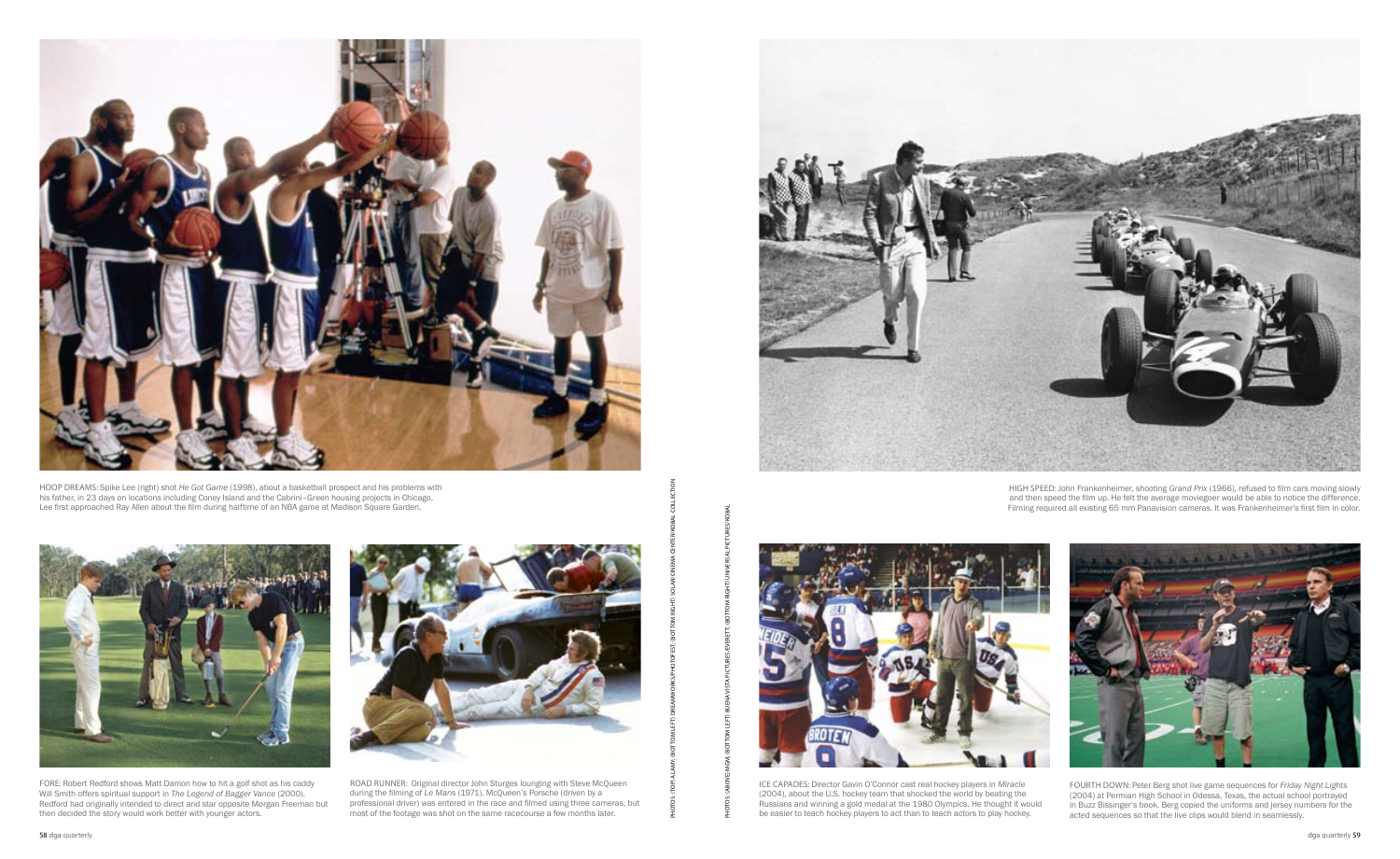



hoop dreams: Spike Lee (right) shot *He Got Game* (1998), about a basketball prospect and his problems with his father, in 23 days on locations including Coney Island and the Cabrini–Green housing projects in Chicago. Lee first approached Ray Allen about the film during halftime of an NBA game at Madison Square Garden.



high speed: John Frankenheimer, shooting *Grand Prix* (1966), refused to film cars moving slowly and then speed the film up. He felt the average moviegoer would be able to notice the difference. Filming required all existing 65 mm Panavision cameras. It was Frankenheimer's first film in color.



FOURTH DOWN: Peter Berg shot live game sequences for *Friday Night Lights* (2004) at Permian High School in Odessa, Texas, the actual school portrayed in Buzz Bissinger's book. Berg copied the uniforms and jersey numbers for the acted sequences so that the live clips would blend in seamlessly.

FORE: Robert Redford shows Matt Damon how to hit a golf shot as his caddy Will Smith offers spiritual support in *The Legend of Bagger Vance* (2000). Redford had originally intended to direct and star opposite Morgan Freeman but then decided the story would work better with younger actors.



ice capades: Director Gavin O'Connor cast real hockey players in *Miracle* (2004), about the U.S. hockey team that shocked the world by beating the Russians and winning a gold medal at the 1980 Olympics. He thought it would be easier to teach hockey players to act than to teach actors to play hockey.

ROAD RUNNER: Original director John Sturges lounging with Steve McQueen during the filming of *Le Mans* (1971). McQueen's Porsche (driven by a professional driver) was entered in the race and filmed using three cameras, but most of the footage was shot on the same racecourse a few months later.

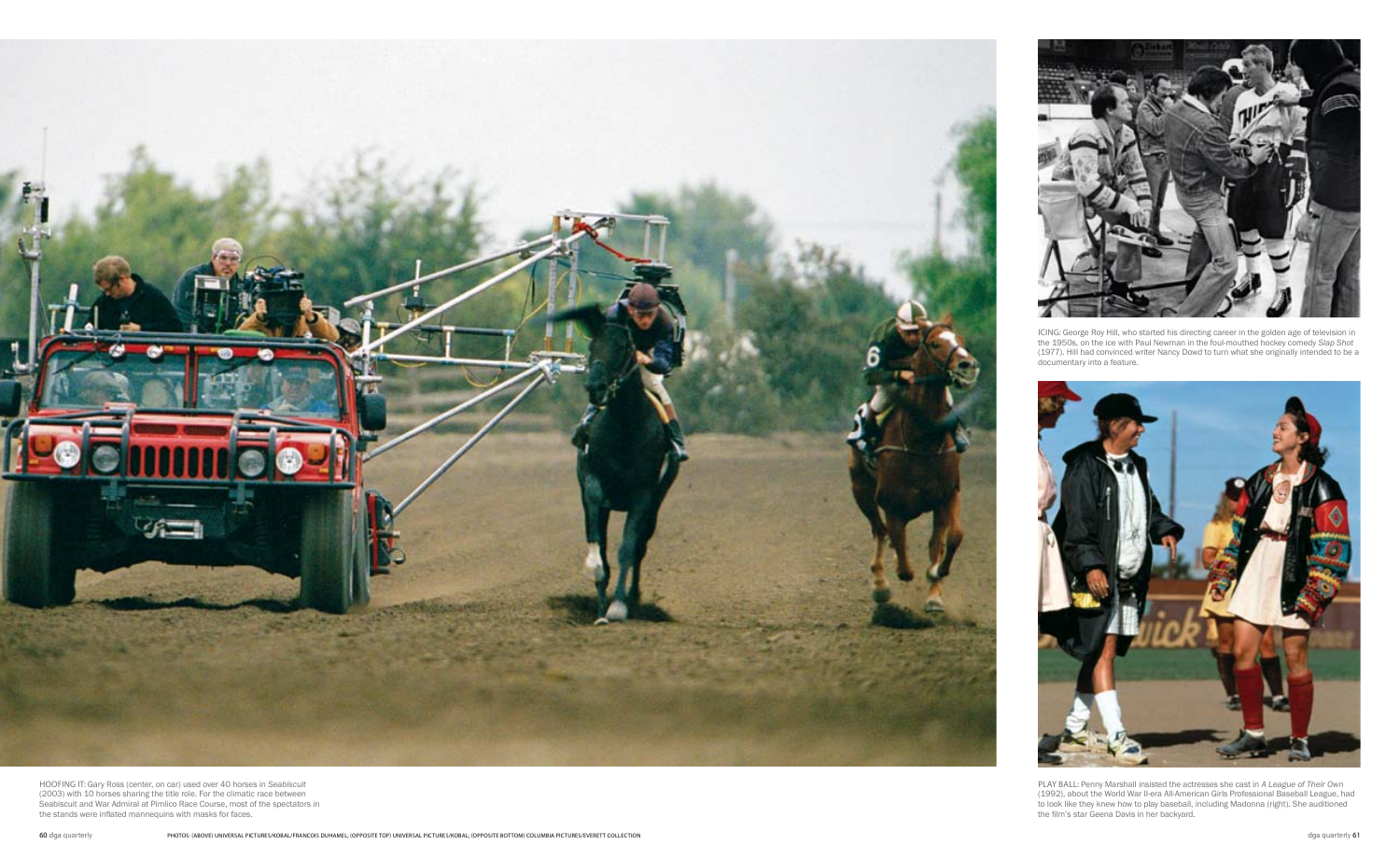

ICING: George Roy Hill, who started his directing career in the golden age of television in the 1950s, on the ice with Paul Newman in the foul-mouthed hockey comedy *Slap Shot* (1977). Hill had convinced writer Nancy Dowd to turn what she originally intended to be a documentary into a feature.



play ball: Penny Marshall insisted the actresses she cast in *A League of Their Own* (1992), about the World War II-era All-American Girls Professional Baseball League, had to look like they knew how to play baseball, including Madonna (right). She auditioned the film's star Geena Davis in her backyard.



hoofing it: Gary Ross (center, on car) used over 40 horses in *Seabiscuit*  (2003) with 10 horses sharing the title role. For the climatic race between Seabiscuit and War Admiral at Pimlico Race Course, most of the spectators in the stands were inflated mannequins with masks for faces.